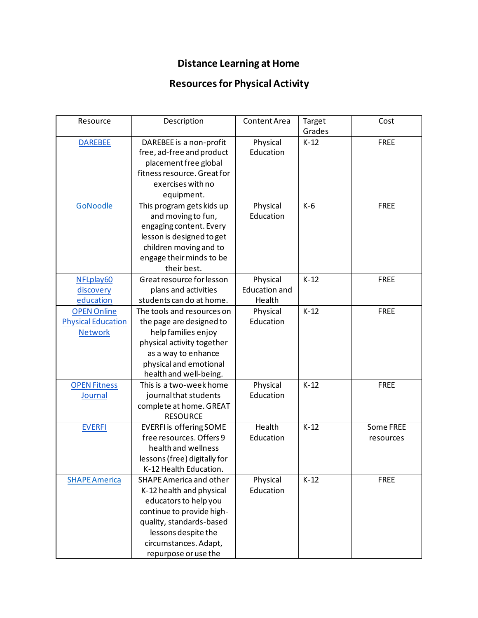## **Distance Learning at Home**

## **Resources for Physical Activity**

| Resource                                                          | Description                                                                                                                                                                                                   | Content Area                               | Target<br>Grades | Cost                   |
|-------------------------------------------------------------------|---------------------------------------------------------------------------------------------------------------------------------------------------------------------------------------------------------------|--------------------------------------------|------------------|------------------------|
| <b>DAREBEE</b>                                                    | DAREBEE is a non-profit<br>free, ad-free and product<br>placement free global<br>fitness resource. Great for<br>exercises with no<br>equipment.                                                               | Physical<br>Education                      | $K-12$           | <b>FREE</b>            |
| GoNoodle                                                          | This program gets kids up<br>and moving to fun,<br>engaging content. Every<br>lesson is designed to get<br>children moving and to<br>engage their minds to be<br>their best.                                  | Physical<br>Education                      | $K-6$            | <b>FREE</b>            |
| NFLplay60<br>discovery<br>education                               | Great resource for lesson<br>plans and activities<br>students can do at home.                                                                                                                                 | Physical<br><b>Education and</b><br>Health | $K-12$           | <b>FREE</b>            |
| <b>OPEN Online</b><br><b>Physical Education</b><br><b>Network</b> | The tools and resources on<br>the page are designed to<br>help families enjoy<br>physical activity together<br>as a way to enhance<br>physical and emotional<br>health and well-being.                        | Physical<br>Education                      | $K-12$           | <b>FREE</b>            |
| <b>OPEN Fitness</b><br><b>Journal</b>                             | This is a two-week home<br>journal that students<br>complete at home. GREAT<br><b>RESOURCE</b>                                                                                                                | Physical<br>Education                      | $K-12$           | <b>FREE</b>            |
| <b>EVERFI</b>                                                     | <b>EVERFI</b> is offering SOME<br>free resources. Offers 9<br>health and wellness<br>lessons (free) digitally for<br>K-12 Health Education.                                                                   | Health<br>Education                        | $K-12$           | Some FREE<br>resources |
| <b>SHAPE America</b>                                              | SHAPE America and other<br>K-12 health and physical<br>educators to help you<br>continue to provide high-<br>quality, standards-based<br>lessons despite the<br>circumstances. Adapt,<br>repurpose or use the | Physical<br>Education                      | $K-12$           | <b>FREE</b>            |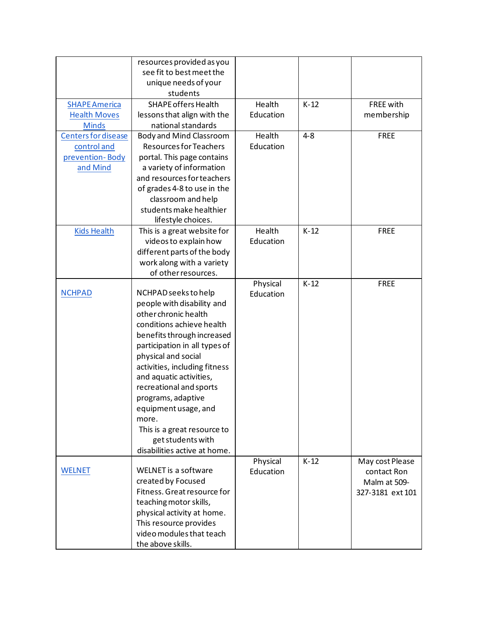|                            | resources provided as you     |                       |         |                             |
|----------------------------|-------------------------------|-----------------------|---------|-----------------------------|
|                            | see fit to best meet the      |                       |         |                             |
|                            | unique needs of your          |                       |         |                             |
|                            | students                      |                       |         |                             |
| <b>SHAPE America</b>       | <b>SHAPE offers Health</b>    | Health                | $K-12$  | <b>FREE with</b>            |
| <b>Health Moves</b>        | lessons that align with the   | Education             |         | membership                  |
| <b>Minds</b>               | national standards            |                       |         |                             |
| <b>Centers for disease</b> | Body and Mind Classroom       | Health                | $4 - 8$ | <b>FREE</b>                 |
| control and                | <b>Resources for Teachers</b> | Education             |         |                             |
| prevention-Body            | portal. This page contains    |                       |         |                             |
| and Mind                   | a variety of information      |                       |         |                             |
|                            | and resources for teachers    |                       |         |                             |
|                            | of grades 4-8 to use in the   |                       |         |                             |
|                            | classroom and help            |                       |         |                             |
|                            | students make healthier       |                       |         |                             |
|                            | lifestyle choices.            |                       |         |                             |
| <b>Kids Health</b>         | This is a great website for   | Health                | $K-12$  | <b>FREE</b>                 |
|                            | videos to explain how         | Education             |         |                             |
|                            | different parts of the body   |                       |         |                             |
|                            | work along with a variety     |                       |         |                             |
|                            | of other resources.           |                       |         |                             |
|                            |                               | Physical              | $K-12$  | <b>FREE</b>                 |
| <b>NCHPAD</b>              | NCHPAD seeks to help          | Education             |         |                             |
|                            | people with disability and    |                       |         |                             |
|                            | other chronic health          |                       |         |                             |
|                            | conditions achieve health     |                       |         |                             |
|                            | benefits through increased    |                       |         |                             |
|                            | participation in all types of |                       |         |                             |
|                            | physical and social           |                       |         |                             |
|                            | activities, including fitness |                       |         |                             |
|                            | and aquatic activities,       |                       |         |                             |
|                            | recreational and sports       |                       |         |                             |
|                            | programs, adaptive            |                       |         |                             |
|                            | equipment usage, and          |                       |         |                             |
|                            | more.                         |                       |         |                             |
|                            | This is a great resource to   |                       |         |                             |
|                            | get students with             |                       |         |                             |
|                            | disabilities active at home.  |                       |         |                             |
| <b>WELNET</b>              | WELNET is a software          | Physical<br>Education | $K-12$  | May cost Please             |
|                            | created by Focused            |                       |         | contact Ron<br>Malm at 509- |
|                            | Fitness. Great resource for   |                       |         | 327-3181 ext 101            |
|                            | teaching motor skills,        |                       |         |                             |
|                            | physical activity at home.    |                       |         |                             |
|                            | This resource provides        |                       |         |                             |
|                            | video modules that teach      |                       |         |                             |
|                            | the above skills.             |                       |         |                             |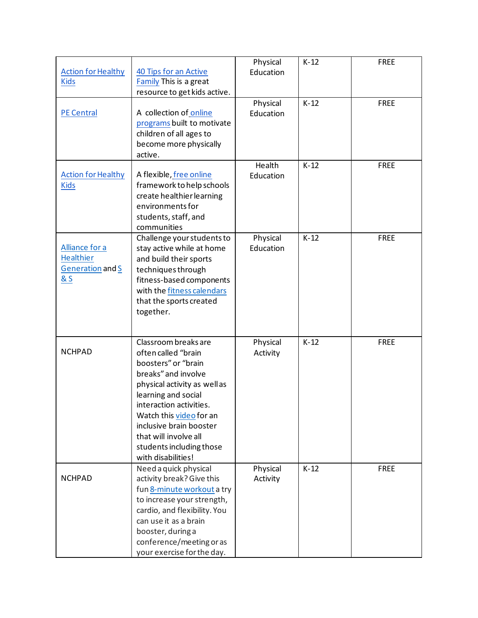| <b>Action for Healthy</b><br><b>Kids</b>                      | 40 Tips for an Active<br>Family This is a great<br>resource to get kids active.                                                                                                                                                                                                                             | Physical<br>Education | $K-12$ | <b>FREE</b> |
|---------------------------------------------------------------|-------------------------------------------------------------------------------------------------------------------------------------------------------------------------------------------------------------------------------------------------------------------------------------------------------------|-----------------------|--------|-------------|
| <b>PE Central</b>                                             | A collection of online<br>programs built to motivate<br>children of all ages to<br>become more physically<br>active.                                                                                                                                                                                        | Physical<br>Education | $K-12$ | <b>FREE</b> |
| <b>Action for Healthy</b><br><b>Kids</b>                      | A flexible, free online<br>framework to help schools<br>create healthier learning<br>environments for<br>students, staff, and<br>communities                                                                                                                                                                | Health<br>Education   | $K-12$ | <b>FREE</b> |
| Alliance for a<br><b>Healthier</b><br>Generation and S<br>& S | Challenge your students to<br>stay active while at home<br>and build their sports<br>techniques through<br>fitness-based components<br>with the fitness calendars<br>that the sports created<br>together.                                                                                                   | Physical<br>Education | $K-12$ | <b>FREE</b> |
| <b>NCHPAD</b>                                                 | Classroom breaks are<br>often called "brain<br>boosters" or "brain<br>breaks" and involve<br>physical activity as well as<br>learning and social<br>interaction activities<br>Watch this video for an<br>inclusive brain booster<br>that will involve all<br>students including those<br>with disabilities! | Physical<br>Activity  | $K-12$ | <b>FREE</b> |
| <b>NCHPAD</b>                                                 | Need a quick physical<br>activity break? Give this<br>fun 8-minute workout a try<br>to increase your strength,<br>cardio, and flexibility. You<br>can use it as a brain<br>booster, during a<br>conference/meeting or as<br>your exercise for the day.                                                      | Physical<br>Activity  | $K-12$ | <b>FREE</b> |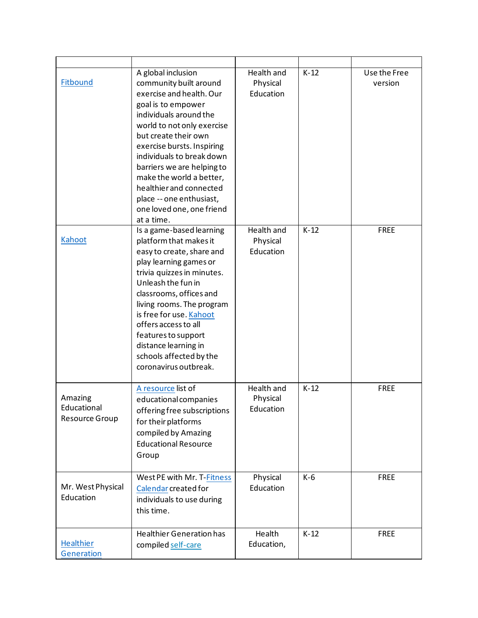| Fitbound                                        | A global inclusion<br>community built around<br>exercise and health. Our<br>goal is to empower<br>individuals around the<br>world to not only exercise<br>but create their own<br>exercise bursts. Inspiring<br>individuals to break down<br>barriers we are helping to<br>make the world a better,<br>healthier and connected<br>place -- one enthusiast,<br>one loved one, one friend<br>at a time. | Health and<br>Physical<br>Education        | $K-12$ | Use the Free<br>version |
|-------------------------------------------------|-------------------------------------------------------------------------------------------------------------------------------------------------------------------------------------------------------------------------------------------------------------------------------------------------------------------------------------------------------------------------------------------------------|--------------------------------------------|--------|-------------------------|
| Kahoot                                          | Is a game-based learning<br>platform that makes it<br>easy to create, share and<br>play learning games or<br>trivia quizzes in minutes.<br>Unleash the fun in<br>classrooms, offices and<br>living rooms. The program<br>is free for use. Kahoot<br>offers access to all<br>features to support<br>distance learning in<br>schools affected by the<br>coronavirus outbreak.                           | <b>Health and</b><br>Physical<br>Education | $K-12$ | <b>FREE</b>             |
| Amazing<br>Educational<br><b>Resource Group</b> | A resource list of<br>educational companies<br>offering free subscriptions<br>for their platforms<br>compiled by Amazing<br><b>Educational Resource</b><br>Group                                                                                                                                                                                                                                      | Health and<br>Physical<br>Education        | $K-12$ | <b>FREE</b>             |
| Mr. West Physical<br>Education                  | West PE with Mr. T-Fitness<br>Calendar created for<br>individuals to use during<br>this time.                                                                                                                                                                                                                                                                                                         | Physical<br>Education                      | $K-6$  | <b>FREE</b>             |
| Healthier<br>Generation                         | <b>Healthier Generation has</b><br>compiled self-care                                                                                                                                                                                                                                                                                                                                                 | Health<br>Education,                       | $K-12$ | <b>FREE</b>             |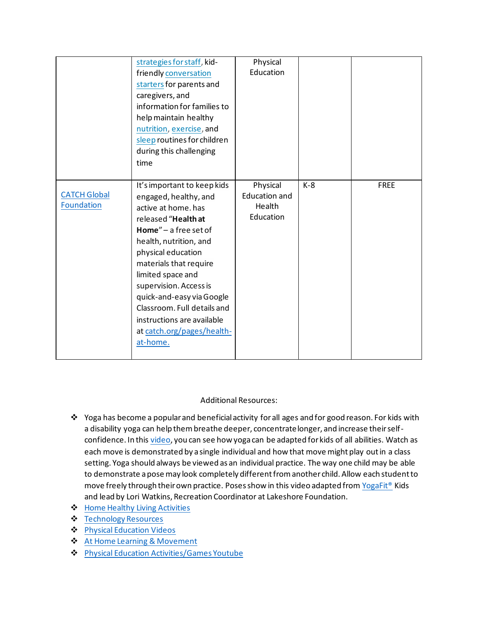|                                          | strategies for staff, kid-<br>friendly conversation<br>starters for parents and<br>caregivers, and<br>information for families to<br>help maintain healthy<br>nutrition, exercise, and<br>sleep routines for children<br>during this challenging<br>time                                                                                                                                 | Physical<br>Education                                   |       |             |
|------------------------------------------|------------------------------------------------------------------------------------------------------------------------------------------------------------------------------------------------------------------------------------------------------------------------------------------------------------------------------------------------------------------------------------------|---------------------------------------------------------|-------|-------------|
| <b>CATCH Global</b><br><b>Foundation</b> | It's important to keep kids<br>engaged, healthy, and<br>active at home. has<br>released "Health at<br>Home" - a free set of<br>health, nutrition, and<br>physical education<br>materials that require<br>limited space and<br>supervision. Access is<br>quick-and-easy via Google<br>Classroom. Full details and<br>instructions are available<br>at catch.org/pages/health-<br>at-home. | Physical<br><b>Education and</b><br>Health<br>Education | $K-8$ | <b>FREE</b> |

## Additional Resources:

- ❖ Yoga has become a popular and beneficial activity for all ages and for good reason. For kids with a disability yoga can help them breathe deeper, concentrate longer, and increase their selfconfidence. In thi[s video,](https://www.youtube.com/watch?v=Dq1XBAkIZEM) you can see how yoga can be adapted for kids of all abilities. Watch as each move is demonstrated by a single individual and how that move might play out in a class setting. Yoga should always be viewed as an individual practice. The way one child may be able to demonstrate a pose may look completely different from another child. Allow each student to move freely through their own practice. Poses show in this video adapted fro[m YogaFit®](https://www.yogafit.com/teacher-training/YogaFit-Kids/) Kids and lead by Lori Watkins, Recreation Coordinator at Lakeshore Foundation.
- ❖ [Home Healthy Living Activities](https://docs.google.com/file/d/1mfLJxcFcWCFtf21cx_E5XRTlaHh_cqKc/edit?filetype=msword)
- ❖ [Technology Resources](https://www.cbhpe.org/templates)
- ❖ [Physical Education Videos](https://docs.google.com/presentation/d/1sp0V3jIg2Sg4LpNDUbw168HRrSDpCwboC9ajsXqybZU/edit#slide=id.p)
- ❖ [At Home Learning & Movement](https://drive.google.com/file/d/1e_wiOgOgfkIXpVLo-ST0hi2J-L2mf3BN/view)
- ❖ [Physical Education Activities/Games Youtube](https://www.youtube.com/playlist?list=PLGS-YpNYBNvda7jGOxP5OE3NyvfaLTfwg)